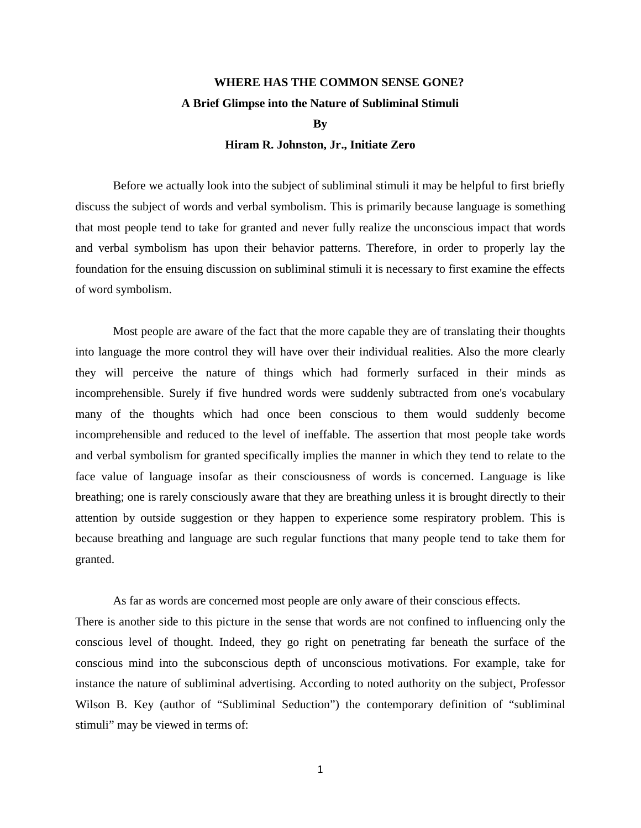## **WHERE HAS THE COMMON SENSE GONE? A Brief Glimpse into the Nature of Subliminal Stimuli By Hiram R. Johnston, Jr., Initiate Zero**

Before we actually look into the subject of subliminal stimuli it may be helpful to first briefly discuss the subject of words and verbal symbolism. This is primarily because language is something that most people tend to take for granted and never fully realize the unconscious impact that words and verbal symbolism has upon their behavior patterns. Therefore, in order to properly lay the foundation for the ensuing discussion on subliminal stimuli it is necessary to first examine the effects of word symbolism.

Most people are aware of the fact that the more capable they are of translating their thoughts into language the more control they will have over their individual realities. Also the more clearly they will perceive the nature of things which had formerly surfaced in their minds as incomprehensible. Surely if five hundred words were suddenly subtracted from one's vocabulary many of the thoughts which had once been conscious to them would suddenly become incomprehensible and reduced to the level of ineffable. The assertion that most people take words and verbal symbolism for granted specifically implies the manner in which they tend to relate to the face value of language insofar as their consciousness of words is concerned. Language is like breathing; one is rarely consciously aware that they are breathing unless it is brought directly to their attention by outside suggestion or they happen to experience some respiratory problem. This is because breathing and language are such regular functions that many people tend to take them for granted.

As far as words are concerned most people are only aware of their conscious effects.

There is another side to this picture in the sense that words are not confined to influencing only the conscious level of thought. Indeed, they go right on penetrating far beneath the surface of the conscious mind into the subconscious depth of unconscious motivations. For example, take for instance the nature of subliminal advertising. According to noted authority on the subject, Professor Wilson B. Key (author of "Subliminal Seduction") the contemporary definition of "subliminal stimuli" may be viewed in terms of: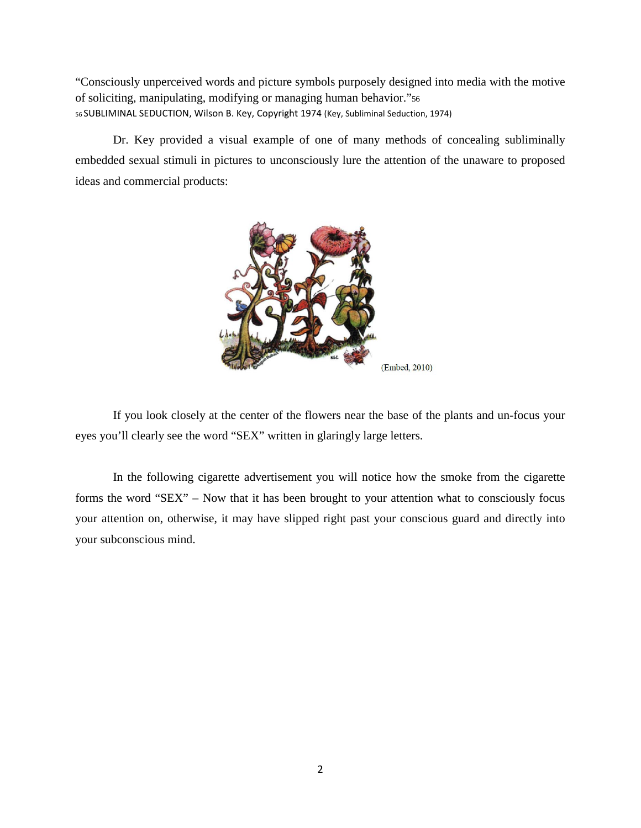"Consciously unperceived words and picture symbols purposely designed into media with the motive of soliciting, manipulating, modifying or managing human behavior."56 56 SUBLIMINAL SEDUCTION, Wilson B. Key, Copyright 1974 (Key, Subliminal Seduction, 1974)

Dr. Key provided a visual example of one of many methods of concealing subliminally embedded sexual stimuli in pictures to unconsciously lure the attention of the unaware to proposed ideas and commercial products:



If you look closely at the center of the flowers near the base of the plants and un-focus your eyes you'll clearly see the word "SEX" written in glaringly large letters.

In the following cigarette advertisement you will notice how the smoke from the cigarette forms the word "SEX" – Now that it has been brought to your attention what to consciously focus your attention on, otherwise, it may have slipped right past your conscious guard and directly into your subconscious mind.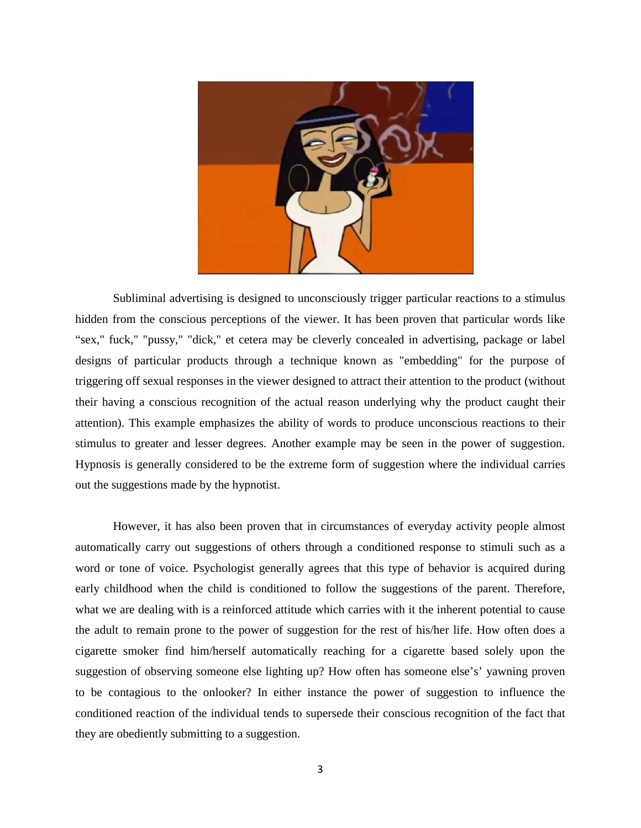

Subliminal advertising is designed to unconsciously trigger particular reactions to a stimulus hidden from the conscious perceptions of the viewer. It has been proven that particular words like "sex," fuck," "pussy," "dick," et cetera may be cleverly concealed in advertising, package or label designs of particular products through a technique known as "embedding" for the purpose of triggering off sexual responses in the viewer designed to attract their attention to the product (without their having a conscious recognition of the actual reason underlying why the product caught their attention). This example emphasizes the ability of words to produce unconscious reactions to their stimulus to greater and lesser degrees. Another example may be seen in the power of suggestion. Hypnosis is generally considered to be the extreme form of suggestion where the individual carries out the suggestions made by the hypnotist.

However, it has also been proven that in circumstances of everyday activity people almost automatically carry out suggestions of others through a conditioned response to stimuli such as a word or tone of voice. Psychologist generally agrees that this type of behavior is acquired during early childhood when the child is conditioned to follow the suggestions of the parent. Therefore, what we are dealing with is a reinforced attitude which carries with it the inherent potential to cause the adult to remain prone to the power of suggestion for the rest of his/her life. How often does a cigarette smoker find him/herself automatically reaching for a cigarette based solely upon the suggestion of observing someone else lighting up? How often has someone else's' yawning proven to be contagious to the onlooker? In either instance the power of suggestion to influence the conditioned reaction of the individual tends to supersede their conscious recognition of the fact that they are obediently submitting to a suggestion.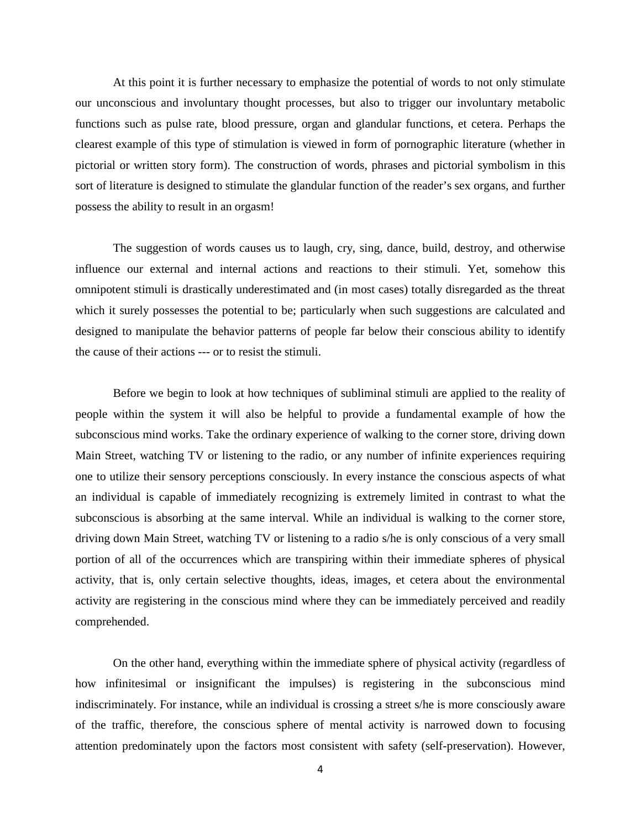At this point it is further necessary to emphasize the potential of words to not only stimulate our unconscious and involuntary thought processes, but also to trigger our involuntary metabolic functions such as pulse rate, blood pressure, organ and glandular functions, et cetera. Perhaps the clearest example of this type of stimulation is viewed in form of pornographic literature (whether in pictorial or written story form). The construction of words, phrases and pictorial symbolism in this sort of literature is designed to stimulate the glandular function of the reader's sex organs, and further possess the ability to result in an orgasm!

The suggestion of words causes us to laugh, cry, sing, dance, build, destroy, and otherwise influence our external and internal actions and reactions to their stimuli. Yet, somehow this omnipotent stimuli is drastically underestimated and (in most cases) totally disregarded as the threat which it surely possesses the potential to be; particularly when such suggestions are calculated and designed to manipulate the behavior patterns of people far below their conscious ability to identify the cause of their actions --- or to resist the stimuli.

Before we begin to look at how techniques of subliminal stimuli are applied to the reality of people within the system it will also be helpful to provide a fundamental example of how the subconscious mind works. Take the ordinary experience of walking to the corner store, driving down Main Street, watching TV or listening to the radio, or any number of infinite experiences requiring one to utilize their sensory perceptions consciously. In every instance the conscious aspects of what an individual is capable of immediately recognizing is extremely limited in contrast to what the subconscious is absorbing at the same interval. While an individual is walking to the corner store, driving down Main Street, watching TV or listening to a radio s/he is only conscious of a very small portion of all of the occurrences which are transpiring within their immediate spheres of physical activity, that is, only certain selective thoughts, ideas, images, et cetera about the environmental activity are registering in the conscious mind where they can be immediately perceived and readily comprehended.

On the other hand, everything within the immediate sphere of physical activity (regardless of how infinitesimal or insignificant the impulses) is registering in the subconscious mind indiscriminately. For instance, while an individual is crossing a street s/he is more consciously aware of the traffic, therefore, the conscious sphere of mental activity is narrowed down to focusing attention predominately upon the factors most consistent with safety (self-preservation). However,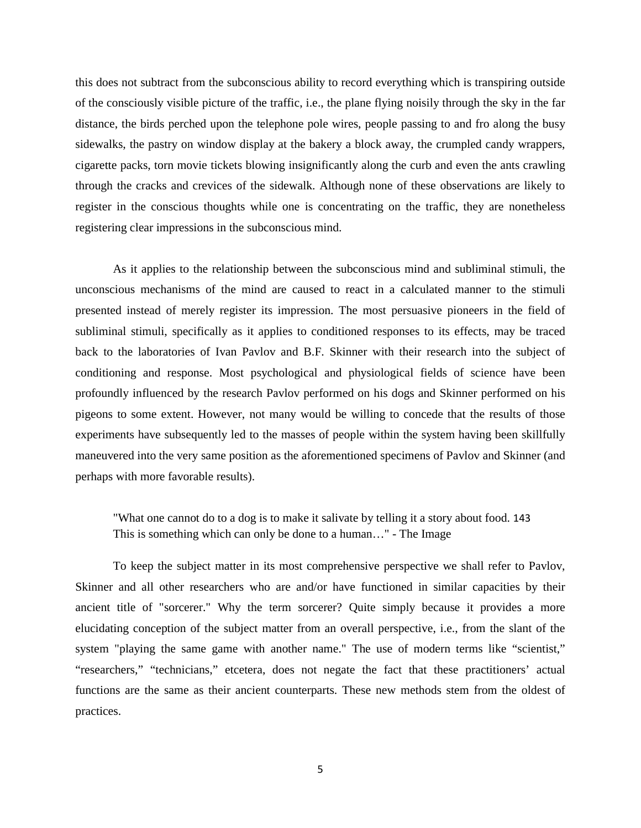this does not subtract from the subconscious ability to record everything which is transpiring outside of the consciously visible picture of the traffic, i.e., the plane flying noisily through the sky in the far distance, the birds perched upon the telephone pole wires, people passing to and fro along the busy sidewalks, the pastry on window display at the bakery a block away, the crumpled candy wrappers, cigarette packs, torn movie tickets blowing insignificantly along the curb and even the ants crawling through the cracks and crevices of the sidewalk. Although none of these observations are likely to register in the conscious thoughts while one is concentrating on the traffic, they are nonetheless registering clear impressions in the subconscious mind.

As it applies to the relationship between the subconscious mind and subliminal stimuli, the unconscious mechanisms of the mind are caused to react in a calculated manner to the stimuli presented instead of merely register its impression. The most persuasive pioneers in the field of subliminal stimuli, specifically as it applies to conditioned responses to its effects, may be traced back to the laboratories of Ivan Pavlov and B.F. Skinner with their research into the subject of conditioning and response. Most psychological and physiological fields of science have been profoundly influenced by the research Pavlov performed on his dogs and Skinner performed on his pigeons to some extent. However, not many would be willing to concede that the results of those experiments have subsequently led to the masses of people within the system having been skillfully maneuvered into the very same position as the aforementioned specimens of Pavlov and Skinner (and perhaps with more favorable results).

"What one cannot do to a dog is to make it salivate by telling it a story about food. 143 This is something which can only be done to a human…" - The Image

To keep the subject matter in its most comprehensive perspective we shall refer to Pavlov, Skinner and all other researchers who are and/or have functioned in similar capacities by their ancient title of "sorcerer." Why the term sorcerer? Quite simply because it provides a more elucidating conception of the subject matter from an overall perspective, i.e., from the slant of the system "playing the same game with another name." The use of modern terms like "scientist," "researchers," "technicians," etcetera, does not negate the fact that these practitioners' actual functions are the same as their ancient counterparts. These new methods stem from the oldest of practices.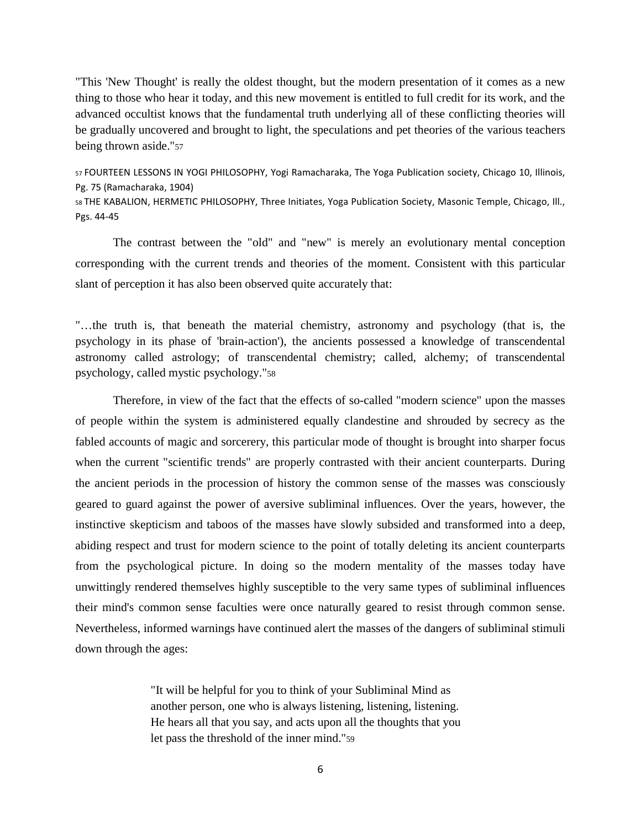"This 'New Thought' is really the oldest thought, but the modern presentation of it comes as a new thing to those who hear it today, and this new movement is entitled to full credit for its work, and the advanced occultist knows that the fundamental truth underlying all of these conflicting theories will be gradually uncovered and brought to light, the speculations and pet theories of the various teachers being thrown aside."57

57 FOURTEEN LESSONS IN YOGI PHILOSOPHY, Yogi Ramacharaka, The Yoga Publication society, Chicago 10, Illinois, Pg. 75 (Ramacharaka, 1904)

58 THE KABALION, HERMETIC PHILOSOPHY, Three Initiates, Yoga Publication Society, Masonic Temple, Chicago, Ill., Pgs. 44-45

The contrast between the "old" and "new" is merely an evolutionary mental conception corresponding with the current trends and theories of the moment. Consistent with this particular slant of perception it has also been observed quite accurately that:

"…the truth is, that beneath the material chemistry, astronomy and psychology (that is, the psychology in its phase of 'brain-action'), the ancients possessed a knowledge of transcendental astronomy called astrology; of transcendental chemistry; called, alchemy; of transcendental psychology, called mystic psychology."58

Therefore, in view of the fact that the effects of so-called "modern science" upon the masses of people within the system is administered equally clandestine and shrouded by secrecy as the fabled accounts of magic and sorcerery, this particular mode of thought is brought into sharper focus when the current "scientific trends" are properly contrasted with their ancient counterparts. During the ancient periods in the procession of history the common sense of the masses was consciously geared to guard against the power of aversive subliminal influences. Over the years, however, the instinctive skepticism and taboos of the masses have slowly subsided and transformed into a deep, abiding respect and trust for modern science to the point of totally deleting its ancient counterparts from the psychological picture. In doing so the modern mentality of the masses today have unwittingly rendered themselves highly susceptible to the very same types of subliminal influences their mind's common sense faculties were once naturally geared to resist through common sense. Nevertheless, informed warnings have continued alert the masses of the dangers of subliminal stimuli down through the ages:

> "It will be helpful for you to think of your Subliminal Mind as another person, one who is always listening, listening, listening. He hears all that you say, and acts upon all the thoughts that you let pass the threshold of the inner mind."59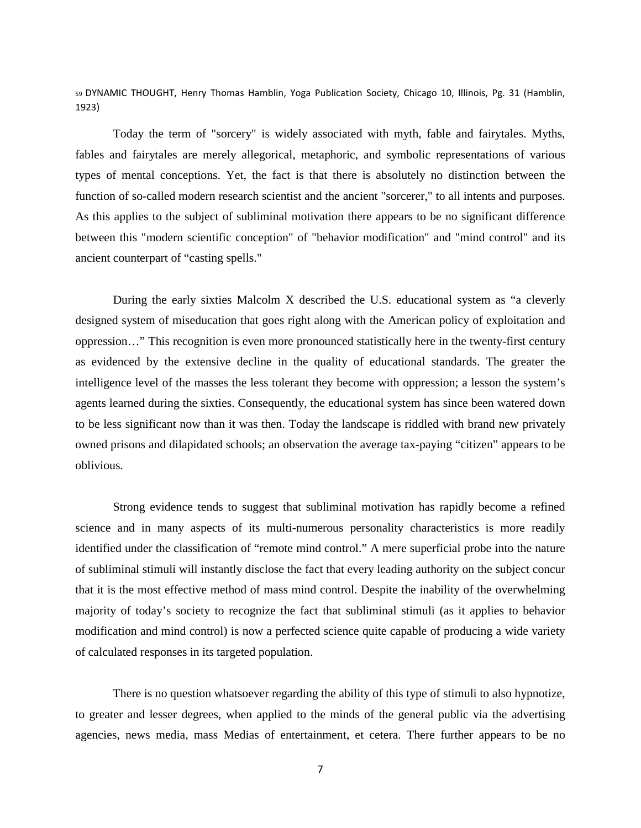59 DYNAMIC THOUGHT, Henry Thomas Hamblin, Yoga Publication Society, Chicago 10, Illinois, Pg. 31 (Hamblin, 1923)

Today the term of "sorcery" is widely associated with myth, fable and fairytales. Myths, fables and fairytales are merely allegorical, metaphoric, and symbolic representations of various types of mental conceptions. Yet, the fact is that there is absolutely no distinction between the function of so-called modern research scientist and the ancient "sorcerer," to all intents and purposes. As this applies to the subject of subliminal motivation there appears to be no significant difference between this "modern scientific conception" of "behavior modification" and "mind control" and its ancient counterpart of "casting spells."

During the early sixties Malcolm X described the U.S. educational system as "a cleverly designed system of miseducation that goes right along with the American policy of exploitation and oppression…" This recognition is even more pronounced statistically here in the twenty-first century as evidenced by the extensive decline in the quality of educational standards. The greater the intelligence level of the masses the less tolerant they become with oppression; a lesson the system's agents learned during the sixties. Consequently, the educational system has since been watered down to be less significant now than it was then. Today the landscape is riddled with brand new privately owned prisons and dilapidated schools; an observation the average tax-paying "citizen" appears to be oblivious.

Strong evidence tends to suggest that subliminal motivation has rapidly become a refined science and in many aspects of its multi-numerous personality characteristics is more readily identified under the classification of "remote mind control." A mere superficial probe into the nature of subliminal stimuli will instantly disclose the fact that every leading authority on the subject concur that it is the most effective method of mass mind control. Despite the inability of the overwhelming majority of today's society to recognize the fact that subliminal stimuli (as it applies to behavior modification and mind control) is now a perfected science quite capable of producing a wide variety of calculated responses in its targeted population.

There is no question whatsoever regarding the ability of this type of stimuli to also hypnotize, to greater and lesser degrees, when applied to the minds of the general public via the advertising agencies, news media, mass Medias of entertainment, et cetera. There further appears to be no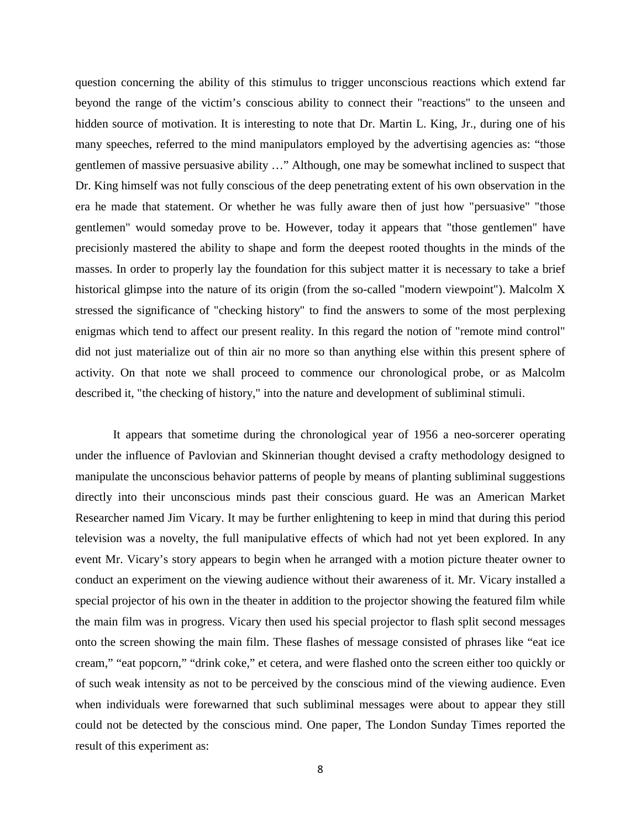question concerning the ability of this stimulus to trigger unconscious reactions which extend far beyond the range of the victim's conscious ability to connect their "reactions" to the unseen and hidden source of motivation. It is interesting to note that Dr. Martin L. King, Jr., during one of his many speeches, referred to the mind manipulators employed by the advertising agencies as: "those gentlemen of massive persuasive ability …" Although, one may be somewhat inclined to suspect that Dr. King himself was not fully conscious of the deep penetrating extent of his own observation in the era he made that statement. Or whether he was fully aware then of just how "persuasive" "those gentlemen" would someday prove to be. However, today it appears that "those gentlemen" have precisionly mastered the ability to shape and form the deepest rooted thoughts in the minds of the masses. In order to properly lay the foundation for this subject matter it is necessary to take a brief historical glimpse into the nature of its origin (from the so-called "modern viewpoint"). Malcolm X stressed the significance of "checking history" to find the answers to some of the most perplexing enigmas which tend to affect our present reality. In this regard the notion of "remote mind control" did not just materialize out of thin air no more so than anything else within this present sphere of activity. On that note we shall proceed to commence our chronological probe, or as Malcolm described it, "the checking of history," into the nature and development of subliminal stimuli.

It appears that sometime during the chronological year of 1956 a neo-sorcerer operating under the influence of Pavlovian and Skinnerian thought devised a crafty methodology designed to manipulate the unconscious behavior patterns of people by means of planting subliminal suggestions directly into their unconscious minds past their conscious guard. He was an American Market Researcher named Jim Vicary. It may be further enlightening to keep in mind that during this period television was a novelty, the full manipulative effects of which had not yet been explored. In any event Mr. Vicary's story appears to begin when he arranged with a motion picture theater owner to conduct an experiment on the viewing audience without their awareness of it. Mr. Vicary installed a special projector of his own in the theater in addition to the projector showing the featured film while the main film was in progress. Vicary then used his special projector to flash split second messages onto the screen showing the main film. These flashes of message consisted of phrases like "eat ice cream," "eat popcorn," "drink coke," et cetera, and were flashed onto the screen either too quickly or of such weak intensity as not to be perceived by the conscious mind of the viewing audience. Even when individuals were forewarned that such subliminal messages were about to appear they still could not be detected by the conscious mind. One paper, The London Sunday Times reported the result of this experiment as: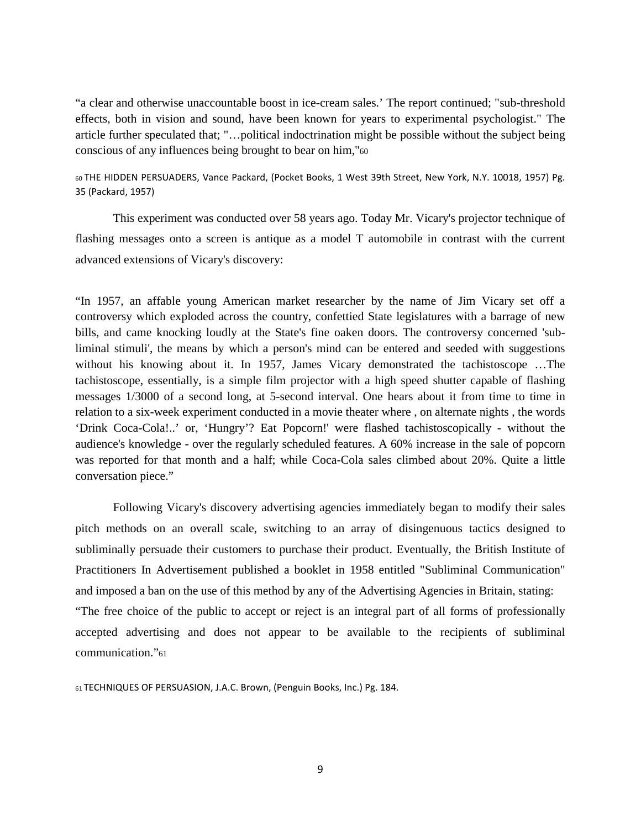"a clear and otherwise unaccountable boost in ice-cream sales.' The report continued; "sub-threshold effects, both in vision and sound, have been known for years to experimental psychologist." The article further speculated that; "…political indoctrination might be possible without the subject being conscious of any influences being brought to bear on him,"60

60 THE HIDDEN PERSUADERS, Vance Packard, (Pocket Books, 1 West 39th Street, New York, N.Y. 10018, 1957) Pg. 35 (Packard, 1957)

This experiment was conducted over 58 years ago. Today Mr. Vicary's projector technique of flashing messages onto a screen is antique as a model T automobile in contrast with the current advanced extensions of Vicary's discovery:

"In 1957, an affable young American market researcher by the name of Jim Vicary set off a controversy which exploded across the country, confettied State legislatures with a barrage of new bills, and came knocking loudly at the State's fine oaken doors. The controversy concerned 'subliminal stimuli', the means by which a person's mind can be entered and seeded with suggestions without his knowing about it. In 1957, James Vicary demonstrated the tachistoscope …The tachistoscope, essentially, is a simple film projector with a high speed shutter capable of flashing messages 1/3000 of a second long, at 5-second interval. One hears about it from time to time in relation to a six-week experiment conducted in a movie theater where , on alternate nights , the words 'Drink Coca-Cola!..' or, 'Hungry'? Eat Popcorn!' were flashed tachistoscopically - without the audience's knowledge - over the regularly scheduled features. A 60% increase in the sale of popcorn was reported for that month and a half; while Coca-Cola sales climbed about 20%. Quite a little conversation piece."

Following Vicary's discovery advertising agencies immediately began to modify their sales pitch methods on an overall scale, switching to an array of disingenuous tactics designed to subliminally persuade their customers to purchase their product. Eventually, the British Institute of Practitioners In Advertisement published a booklet in 1958 entitled "Subliminal Communication" and imposed a ban on the use of this method by any of the Advertising Agencies in Britain, stating: "The free choice of the public to accept or reject is an integral part of all forms of professionally accepted advertising and does not appear to be available to the recipients of subliminal communication."61

61 TECHNIQUES OF PERSUASION, J.A.C. Brown, (Penguin Books, Inc.) Pg. 184.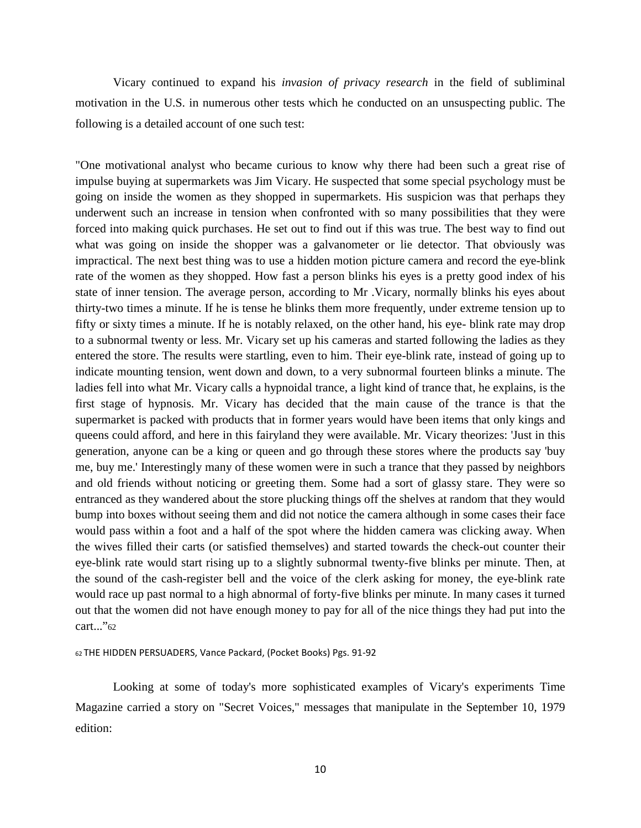Vicary continued to expand his *invasion of privacy research* in the field of subliminal motivation in the U.S. in numerous other tests which he conducted on an unsuspecting public. The following is a detailed account of one such test:

"One motivational analyst who became curious to know why there had been such a great rise of impulse buying at supermarkets was Jim Vicary. He suspected that some special psychology must be going on inside the women as they shopped in supermarkets. His suspicion was that perhaps they underwent such an increase in tension when confronted with so many possibilities that they were forced into making quick purchases. He set out to find out if this was true. The best way to find out what was going on inside the shopper was a galvanometer or lie detector. That obviously was impractical. The next best thing was to use a hidden motion picture camera and record the eye-blink rate of the women as they shopped. How fast a person blinks his eyes is a pretty good index of his state of inner tension. The average person, according to Mr .Vicary, normally blinks his eyes about thirty-two times a minute. If he is tense he blinks them more frequently, under extreme tension up to fifty or sixty times a minute. If he is notably relaxed, on the other hand, his eye- blink rate may drop to a subnormal twenty or less. Mr. Vicary set up his cameras and started following the ladies as they entered the store. The results were startling, even to him. Their eye-blink rate, instead of going up to indicate mounting tension, went down and down, to a very subnormal fourteen blinks a minute. The ladies fell into what Mr. Vicary calls a hypnoidal trance, a light kind of trance that, he explains, is the first stage of hypnosis. Mr. Vicary has decided that the main cause of the trance is that the supermarket is packed with products that in former years would have been items that only kings and queens could afford, and here in this fairyland they were available. Mr. Vicary theorizes: 'Just in this generation, anyone can be a king or queen and go through these stores where the products say 'buy me, buy me.' Interestingly many of these women were in such a trance that they passed by neighbors and old friends without noticing or greeting them. Some had a sort of glassy stare. They were so entranced as they wandered about the store plucking things off the shelves at random that they would bump into boxes without seeing them and did not notice the camera although in some cases their face would pass within a foot and a half of the spot where the hidden camera was clicking away. When the wives filled their carts (or satisfied themselves) and started towards the check-out counter their eye-blink rate would start rising up to a slightly subnormal twenty-five blinks per minute. Then, at the sound of the cash-register bell and the voice of the clerk asking for money, the eye-blink rate would race up past normal to a high abnormal of forty-five blinks per minute. In many cases it turned out that the women did not have enough money to pay for all of the nice things they had put into the cart..."62

## 62 THE HIDDEN PERSUADERS, Vance Packard, (Pocket Books) Pgs. 91-92

Looking at some of today's more sophisticated examples of Vicary's experiments Time Magazine carried a story on "Secret Voices," messages that manipulate in the September 10, 1979 edition: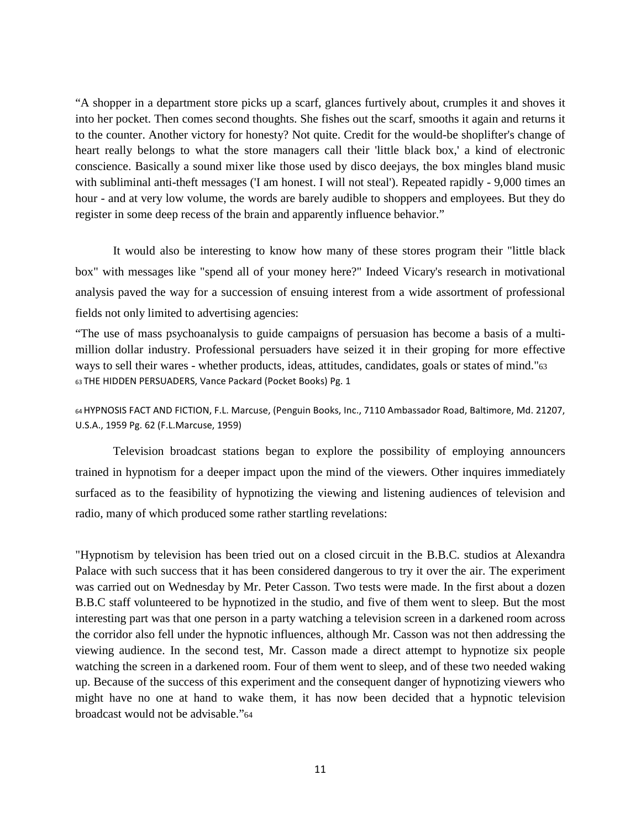"A shopper in a department store picks up a scarf, glances furtively about, crumples it and shoves it into her pocket. Then comes second thoughts. She fishes out the scarf, smooths it again and returns it to the counter. Another victory for honesty? Not quite. Credit for the would-be shoplifter's change of heart really belongs to what the store managers call their 'little black box,' a kind of electronic conscience. Basically a sound mixer like those used by disco deejays, the box mingles bland music with subliminal anti-theft messages ('I am honest. I will not steal'). Repeated rapidly - 9,000 times an hour - and at very low volume, the words are barely audible to shoppers and employees. But they do register in some deep recess of the brain and apparently influence behavior."

It would also be interesting to know how many of these stores program their "little black box" with messages like "spend all of your money here?" Indeed Vicary's research in motivational analysis paved the way for a succession of ensuing interest from a wide assortment of professional fields not only limited to advertising agencies:

"The use of mass psychoanalysis to guide campaigns of persuasion has become a basis of a multimillion dollar industry. Professional persuaders have seized it in their groping for more effective ways to sell their wares - whether products, ideas, attitudes, candidates, goals or states of mind."63 63 THE HIDDEN PERSUADERS, Vance Packard (Pocket Books) Pg. 1

64 HYPNOSIS FACT AND FICTION, F.L. Marcuse, (Penguin Books, Inc., 7110 Ambassador Road, Baltimore, Md. 21207, U.S.A., 1959 Pg. 62 (F.L.Marcuse, 1959)

Television broadcast stations began to explore the possibility of employing announcers trained in hypnotism for a deeper impact upon the mind of the viewers. Other inquires immediately surfaced as to the feasibility of hypnotizing the viewing and listening audiences of television and radio, many of which produced some rather startling revelations:

"Hypnotism by television has been tried out on a closed circuit in the B.B.C. studios at Alexandra Palace with such success that it has been considered dangerous to try it over the air. The experiment was carried out on Wednesday by Mr. Peter Casson. Two tests were made. In the first about a dozen B.B.C staff volunteered to be hypnotized in the studio, and five of them went to sleep. But the most interesting part was that one person in a party watching a television screen in a darkened room across the corridor also fell under the hypnotic influences, although Mr. Casson was not then addressing the viewing audience. In the second test, Mr. Casson made a direct attempt to hypnotize six people watching the screen in a darkened room. Four of them went to sleep, and of these two needed waking up. Because of the success of this experiment and the consequent danger of hypnotizing viewers who might have no one at hand to wake them, it has now been decided that a hypnotic television broadcast would not be advisable."64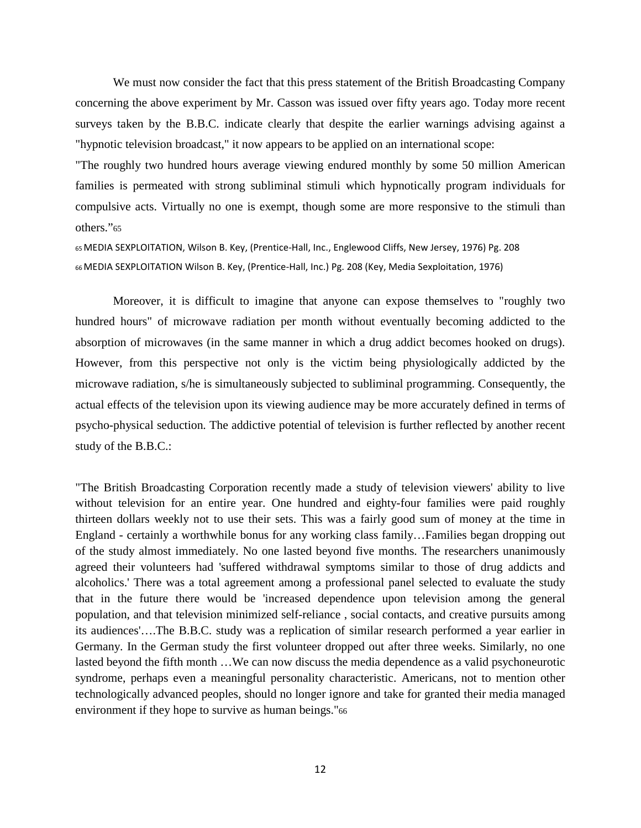We must now consider the fact that this press statement of the British Broadcasting Company concerning the above experiment by Mr. Casson was issued over fifty years ago. Today more recent surveys taken by the B.B.C. indicate clearly that despite the earlier warnings advising against a "hypnotic television broadcast," it now appears to be applied on an international scope:

"The roughly two hundred hours average viewing endured monthly by some 50 million American families is permeated with strong subliminal stimuli which hypnotically program individuals for compulsive acts. Virtually no one is exempt, though some are more responsive to the stimuli than others."65

65 MEDIA SEXPLOITATION, Wilson B. Key, (Prentice-Hall, Inc., Englewood Cliffs, New Jersey, 1976) Pg. 208 66 MEDIA SEXPLOITATION Wilson B. Key, (Prentice-Hall, Inc.) Pg. 208 (Key, Media Sexploitation, 1976)

Moreover, it is difficult to imagine that anyone can expose themselves to "roughly two hundred hours" of microwave radiation per month without eventually becoming addicted to the absorption of microwaves (in the same manner in which a drug addict becomes hooked on drugs). However, from this perspective not only is the victim being physiologically addicted by the microwave radiation, s/he is simultaneously subjected to subliminal programming. Consequently, the actual effects of the television upon its viewing audience may be more accurately defined in terms of psycho-physical seduction. The addictive potential of television is further reflected by another recent study of the B.B.C.:

"The British Broadcasting Corporation recently made a study of television viewers' ability to live without television for an entire year. One hundred and eighty-four families were paid roughly thirteen dollars weekly not to use their sets. This was a fairly good sum of money at the time in England - certainly a worthwhile bonus for any working class family…Families began dropping out of the study almost immediately. No one lasted beyond five months. The researchers unanimously agreed their volunteers had 'suffered withdrawal symptoms similar to those of drug addicts and alcoholics.' There was a total agreement among a professional panel selected to evaluate the study that in the future there would be 'increased dependence upon television among the general population, and that television minimized self-reliance , social contacts, and creative pursuits among its audiences'….The B.B.C. study was a replication of similar research performed a year earlier in Germany. In the German study the first volunteer dropped out after three weeks. Similarly, no one lasted beyond the fifth month …We can now discuss the media dependence as a valid psychoneurotic syndrome, perhaps even a meaningful personality characteristic. Americans, not to mention other technologically advanced peoples, should no longer ignore and take for granted their media managed environment if they hope to survive as human beings."66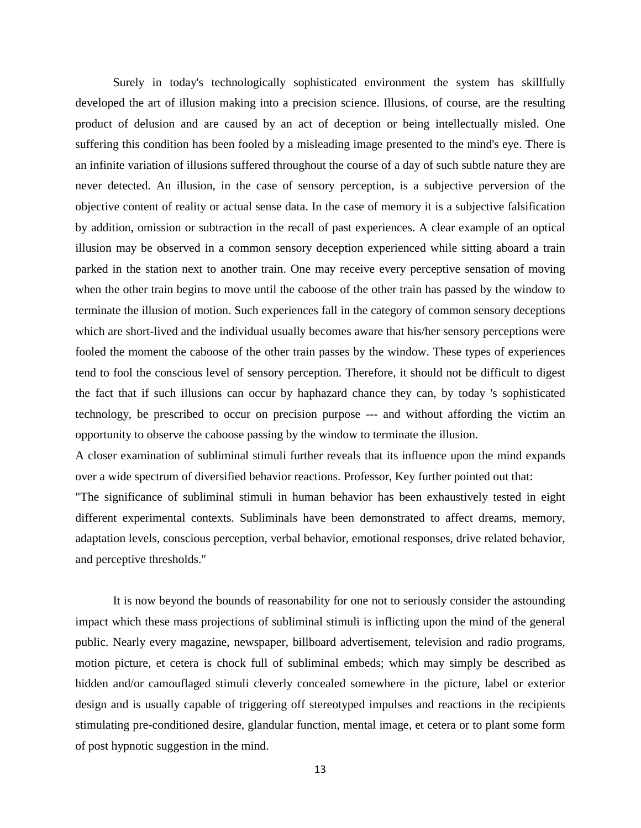Surely in today's technologically sophisticated environment the system has skillfully developed the art of illusion making into a precision science. Illusions, of course, are the resulting product of delusion and are caused by an act of deception or being intellectually misled. One suffering this condition has been fooled by a misleading image presented to the mind's eye. There is an infinite variation of illusions suffered throughout the course of a day of such subtle nature they are never detected. An illusion, in the case of sensory perception, is a subjective perversion of the objective content of reality or actual sense data. In the case of memory it is a subjective falsification by addition, omission or subtraction in the recall of past experiences. A clear example of an optical illusion may be observed in a common sensory deception experienced while sitting aboard a train parked in the station next to another train. One may receive every perceptive sensation of moving when the other train begins to move until the caboose of the other train has passed by the window to terminate the illusion of motion. Such experiences fall in the category of common sensory deceptions which are short-lived and the individual usually becomes aware that his/her sensory perceptions were fooled the moment the caboose of the other train passes by the window. These types of experiences tend to fool the conscious level of sensory perception. Therefore, it should not be difficult to digest the fact that if such illusions can occur by haphazard chance they can, by today 's sophisticated technology, be prescribed to occur on precision purpose --- and without affording the victim an opportunity to observe the caboose passing by the window to terminate the illusion.

A closer examination of subliminal stimuli further reveals that its influence upon the mind expands over a wide spectrum of diversified behavior reactions. Professor, Key further pointed out that:

"The significance of subliminal stimuli in human behavior has been exhaustively tested in eight different experimental contexts. Subliminals have been demonstrated to affect dreams, memory, adaptation levels, conscious perception, verbal behavior, emotional responses, drive related behavior, and perceptive thresholds."

It is now beyond the bounds of reasonability for one not to seriously consider the astounding impact which these mass projections of subliminal stimuli is inflicting upon the mind of the general public. Nearly every magazine, newspaper, billboard advertisement, television and radio programs, motion picture, et cetera is chock full of subliminal embeds; which may simply be described as hidden and/or camouflaged stimuli cleverly concealed somewhere in the picture, label or exterior design and is usually capable of triggering off stereotyped impulses and reactions in the recipients stimulating pre-conditioned desire, glandular function, mental image, et cetera or to plant some form of post hypnotic suggestion in the mind.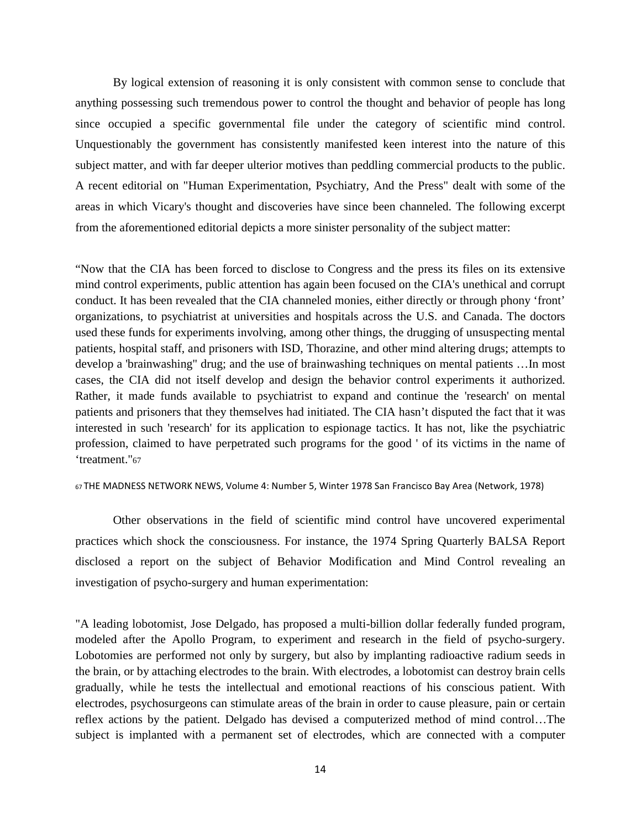By logical extension of reasoning it is only consistent with common sense to conclude that anything possessing such tremendous power to control the thought and behavior of people has long since occupied a specific governmental file under the category of scientific mind control. Unquestionably the government has consistently manifested keen interest into the nature of this subject matter, and with far deeper ulterior motives than peddling commercial products to the public. A recent editorial on "Human Experimentation, Psychiatry, And the Press" dealt with some of the areas in which Vicary's thought and discoveries have since been channeled. The following excerpt from the aforementioned editorial depicts a more sinister personality of the subject matter:

"Now that the CIA has been forced to disclose to Congress and the press its files on its extensive mind control experiments, public attention has again been focused on the CIA's unethical and corrupt conduct. It has been revealed that the CIA channeled monies, either directly or through phony 'front' organizations, to psychiatrist at universities and hospitals across the U.S. and Canada. The doctors used these funds for experiments involving, among other things, the drugging of unsuspecting mental patients, hospital staff, and prisoners with ISD, Thorazine, and other mind altering drugs; attempts to develop a 'brainwashing" drug; and the use of brainwashing techniques on mental patients …In most cases, the CIA did not itself develop and design the behavior control experiments it authorized. Rather, it made funds available to psychiatrist to expand and continue the 'research' on mental patients and prisoners that they themselves had initiated. The CIA hasn't disputed the fact that it was interested in such 'research' for its application to espionage tactics. It has not, like the psychiatric profession, claimed to have perpetrated such programs for the good ' of its victims in the name of 'treatment."67

67 THE MADNESS NETWORK NEWS, Volume 4: Number 5, Winter 1978 San Francisco Bay Area (Network, 1978)

Other observations in the field of scientific mind control have uncovered experimental practices which shock the consciousness. For instance, the 1974 Spring Quarterly BALSA Report disclosed a report on the subject of Behavior Modification and Mind Control revealing an investigation of psycho-surgery and human experimentation:

"A leading lobotomist, Jose Delgado, has proposed a multi-billion dollar federally funded program, modeled after the Apollo Program, to experiment and research in the field of psycho-surgery. Lobotomies are performed not only by surgery, but also by implanting radioactive radium seeds in the brain, or by attaching electrodes to the brain. With electrodes, a lobotomist can destroy brain cells gradually, while he tests the intellectual and emotional reactions of his conscious patient. With electrodes, psychosurgeons can stimulate areas of the brain in order to cause pleasure, pain or certain reflex actions by the patient. Delgado has devised a computerized method of mind control…The subject is implanted with a permanent set of electrodes, which are connected with a computer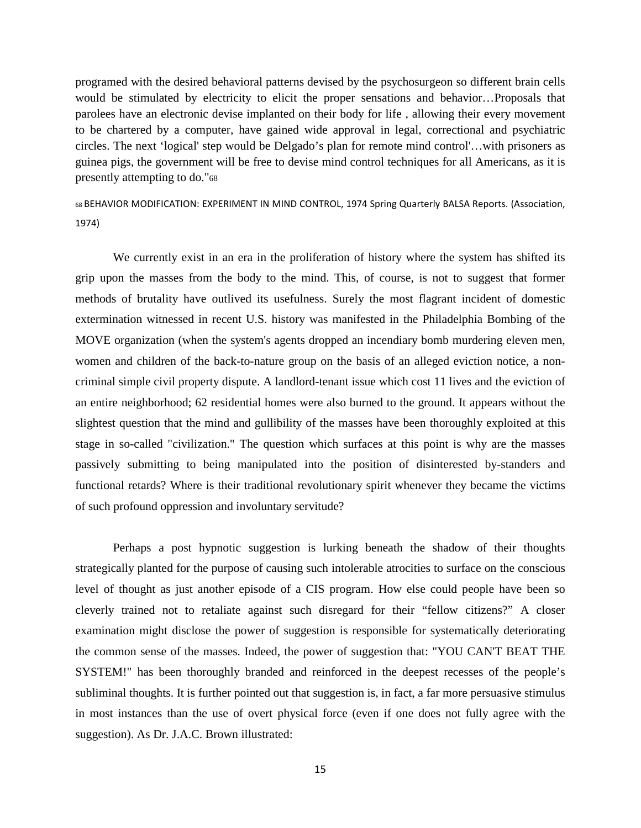programed with the desired behavioral patterns devised by the psychosurgeon so different brain cells would be stimulated by electricity to elicit the proper sensations and behavior…Proposals that parolees have an electronic devise implanted on their body for life , allowing their every movement to be chartered by a computer, have gained wide approval in legal, correctional and psychiatric circles. The next 'logical' step would be Delgado's plan for remote mind control'…with prisoners as guinea pigs, the government will be free to devise mind control techniques for all Americans, as it is presently attempting to do."68

68 BEHAVIOR MODIFICATION: EXPERIMENT IN MIND CONTROL, 1974 Spring Quarterly BALSA Reports. (Association, 1974)

We currently exist in an era in the proliferation of history where the system has shifted its grip upon the masses from the body to the mind. This, of course, is not to suggest that former methods of brutality have outlived its usefulness. Surely the most flagrant incident of domestic extermination witnessed in recent U.S. history was manifested in the Philadelphia Bombing of the MOVE organization (when the system's agents dropped an incendiary bomb murdering eleven men, women and children of the back-to-nature group on the basis of an alleged eviction notice, a noncriminal simple civil property dispute. A landlord-tenant issue which cost 11 lives and the eviction of an entire neighborhood; 62 residential homes were also burned to the ground. It appears without the slightest question that the mind and gullibility of the masses have been thoroughly exploited at this stage in so-called "civilization." The question which surfaces at this point is why are the masses passively submitting to being manipulated into the position of disinterested by-standers and functional retards? Where is their traditional revolutionary spirit whenever they became the victims of such profound oppression and involuntary servitude?

Perhaps a post hypnotic suggestion is lurking beneath the shadow of their thoughts strategically planted for the purpose of causing such intolerable atrocities to surface on the conscious level of thought as just another episode of a CIS program. How else could people have been so cleverly trained not to retaliate against such disregard for their "fellow citizens?" A closer examination might disclose the power of suggestion is responsible for systematically deteriorating the common sense of the masses. Indeed, the power of suggestion that: "YOU CAN'T BEAT THE SYSTEM!" has been thoroughly branded and reinforced in the deepest recesses of the people's subliminal thoughts. It is further pointed out that suggestion is, in fact, a far more persuasive stimulus in most instances than the use of overt physical force (even if one does not fully agree with the suggestion). As Dr. J.A.C. Brown illustrated: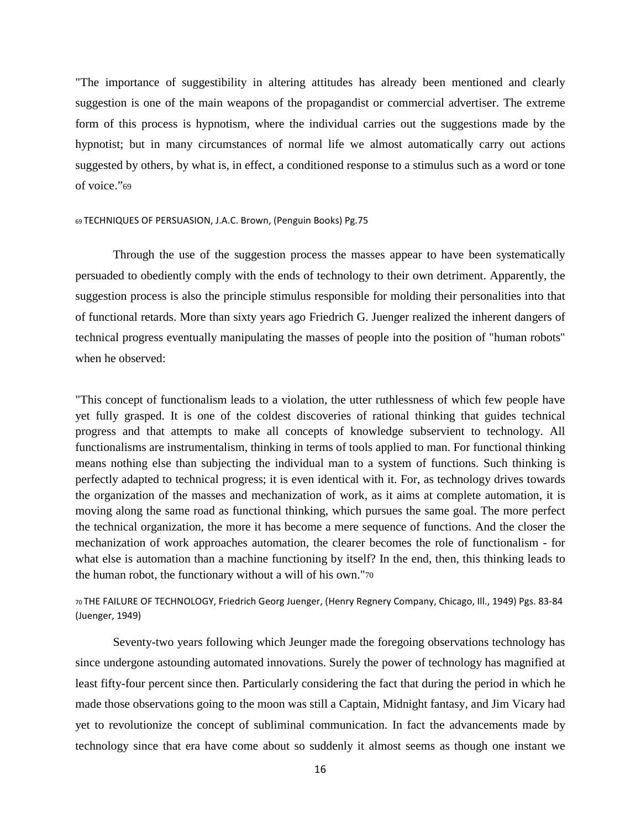"The importance of suggestibility in altering attitudes has already been mentioned and clearly suggestion is one of the main weapons of the propagandist or commercial advertiser. The extreme form of this process is hypnotism, where the individual carries out the suggestions made by the hypnotist; but in many circumstances of normal life we almost automatically carry out actions suggested by others, by what is, in effect, a conditioned response to a stimulus such as a word or tone of voice."69

## 69 TECHNIQUES OF PERSUASION, J.A.C. Brown, (Penguin Books) Pg.75

Through the use of the suggestion process the masses appear to have been systematically persuaded to obediently comply with the ends of technology to their own detriment. Apparently, the suggestion process is also the principle stimulus responsible for molding their personalities into that of functional retards. More than sixty years ago Friedrich G. Juenger realized the inherent dangers of technical progress eventually manipulating the masses of people into the position of "human robots" when he observed:

"This concept of functionalism leads to a violation, the utter ruthlessness of which few people have yet fully grasped. It is one of the coldest discoveries of rational thinking that guides technical progress and that attempts to make all concepts of knowledge subservient to technology. All functionalisms are instrumentalism, thinking in terms of tools applied to man. For functional thinking means nothing else than subjecting the individual man to a system of functions. Such thinking is perfectly adapted to technical progress; it is even identical with it. For, as technology drives towards the organization of the masses and mechanization of work, as it aims at complete automation, it is moving along the same road as functional thinking, which pursues the same goal. The more perfect the technical organization, the more it has become a mere sequence of functions. And the closer the mechanization of work approaches automation, the clearer becomes the role of functionalism - for what else is automation than a machine functioning by itself? In the end, then, this thinking leads to the human robot, the functionary without a will of his own."70

70 THE FAILURE OF TECHNOLOGY, Friedrich Georg Juenger, (Henry Regnery Company, Chicago, Ill., 1949) Pgs. 83-84 (Juenger, 1949)

Seventy-two years following which Jeunger made the foregoing observations technology has since undergone astounding automated innovations. Surely the power of technology has magnified at least fifty-four percent since then. Particularly considering the fact that during the period in which he made those observations going to the moon was still a Captain, Midnight fantasy, and Jim Vicary had yet to revolutionize the concept of subliminal communication. In fact the advancements made by technology since that era have come about so suddenly it almost seems as though one instant we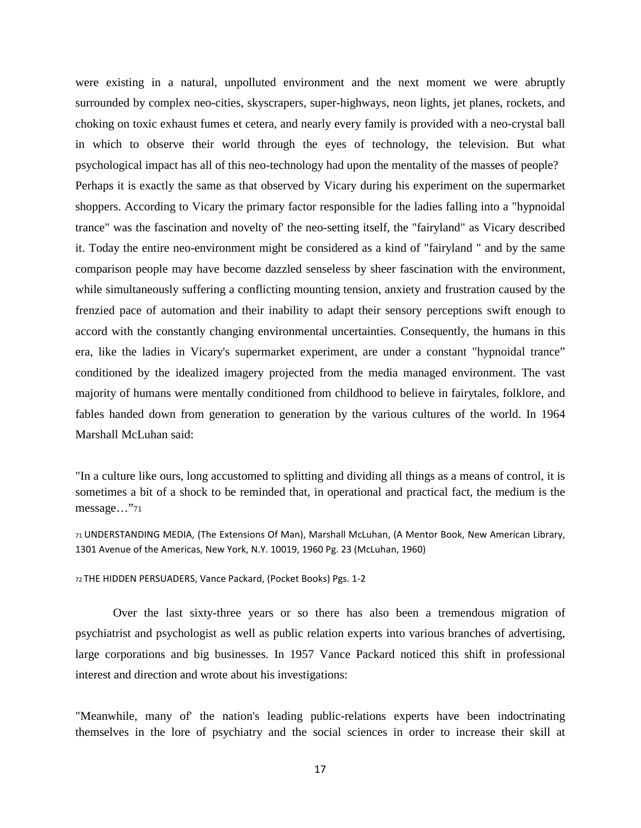were existing in a natural, unpolluted environment and the next moment we were abruptly surrounded by complex neo-cities, skyscrapers, super-highways, neon lights, jet planes, rockets, and choking on toxic exhaust fumes et cetera, and nearly every family is provided with a neo-crystal ball in which to observe their world through the eyes of technology, the television. But what psychological impact has all of this neo-technology had upon the mentality of the masses of people? Perhaps it is exactly the same as that observed by Vicary during his experiment on the supermarket shoppers. According to Vicary the primary factor responsible for the ladies falling into a "hypnoidal trance" was the fascination and novelty of' the neo-setting itself, the "fairyland" as Vicary described it. Today the entire neo-environment might be considered as a kind of "fairyland " and by the same comparison people may have become dazzled senseless by sheer fascination with the environment, while simultaneously suffering a conflicting mounting tension, anxiety and frustration caused by the frenzied pace of automation and their inability to adapt their sensory perceptions swift enough to accord with the constantly changing environmental uncertainties. Consequently, the humans in this era, like the ladies in Vicary's supermarket experiment, are under a constant "hypnoidal trance" conditioned by the idealized imagery projected from the media managed environment. The vast majority of humans were mentally conditioned from childhood to believe in fairytales, folklore, and fables handed down from generation to generation by the various cultures of the world. In 1964 Marshall McLuhan said:

"In a culture like ours, long accustomed to splitting and dividing all things as a means of control, it is sometimes a bit of a shock to be reminded that, in operational and practical fact, the medium is the message…"71

71 UNDERSTANDING MEDIA, (The Extensions Of Man), Marshall McLuhan, (A Mentor Book, New American Library, 1301 Avenue of the Americas, New York, N.Y. 10019, 1960 Pg. 23 (McLuhan, 1960)

72 THE HIDDEN PERSUADERS, Vance Packard, (Pocket Books) Pgs. 1-2

Over the last sixty-three years or so there has also been a tremendous migration of psychiatrist and psychologist as well as public relation experts into various branches of advertising, large corporations and big businesses. In 1957 Vance Packard noticed this shift in professional interest and direction and wrote about his investigations:

"Meanwhile, many of' the nation's leading public-relations experts have been indoctrinating themselves in the lore of psychiatry and the social sciences in order to increase their skill at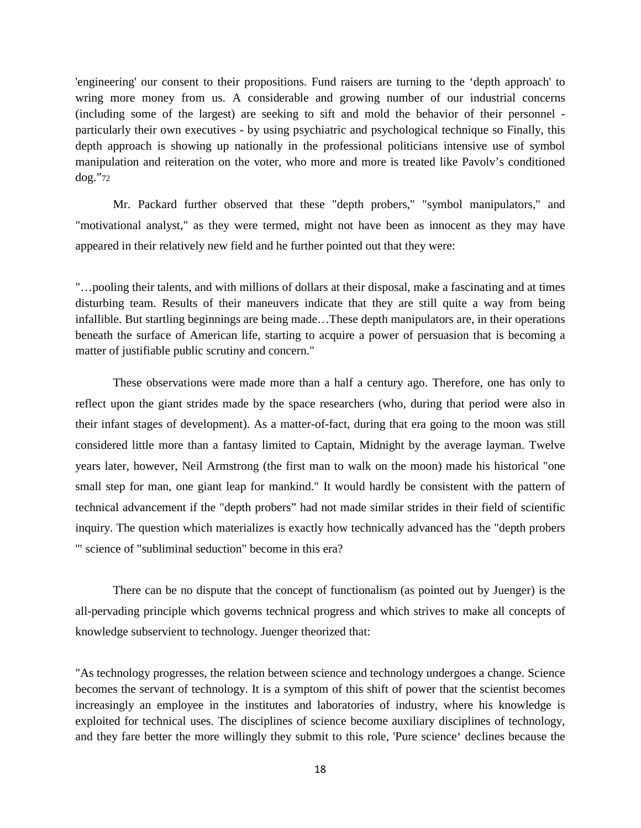'engineering' our consent to their propositions. Fund raisers are turning to the 'depth approach' to wring more money from us. A considerable and growing number of our industrial concerns (including some of the largest) are seeking to sift and mold the behavior of their personnel particularly their own executives - by using psychiatric and psychological technique so Finally, this depth approach is showing up nationally in the professional politicians intensive use of symbol manipulation and reiteration on the voter, who more and more is treated like Pavolv's conditioned dog."72

Mr. Packard further observed that these "depth probers," "symbol manipulators," and "motivational analyst," as they were termed, might not have been as innocent as they may have appeared in their relatively new field and he further pointed out that they were:

"…pooling their talents, and with millions of dollars at their disposal, make a fascinating and at times disturbing team. Results of their maneuvers indicate that they are still quite a way from being infallible. But startling beginnings are being made…These depth manipulators are, in their operations beneath the surface of American life, starting to acquire a power of persuasion that is becoming a matter of justifiable public scrutiny and concern."

These observations were made more than a half a century ago. Therefore, one has only to reflect upon the giant strides made by the space researchers (who, during that period were also in their infant stages of development). As a matter-of-fact, during that era going to the moon was still considered little more than a fantasy limited to Captain, Midnight by the average layman. Twelve years later, however, Neil Armstrong (the first man to walk on the moon) made his historical "one small step for man, one giant leap for mankind." It would hardly be consistent with the pattern of technical advancement if the "depth probers" had not made similar strides in their field of scientific inquiry. The question which materializes is exactly how technically advanced has the "depth probers '" science of "subliminal seduction" become in this era?

There can be no dispute that the concept of functionalism (as pointed out by Juenger) is the all-pervading principle which governs technical progress and which strives to make all concepts of knowledge subservient to technology. Juenger theorized that:

"As technology progresses, the relation between science and technology undergoes a change. Science becomes the servant of technology. It is a symptom of this shift of power that the scientist becomes increasingly an employee in the institutes and laboratories of industry, where his knowledge is exploited for technical uses. The disciplines of science become auxiliary disciplines of technology, and they fare better the more willingly they submit to this role, 'Pure science' declines because the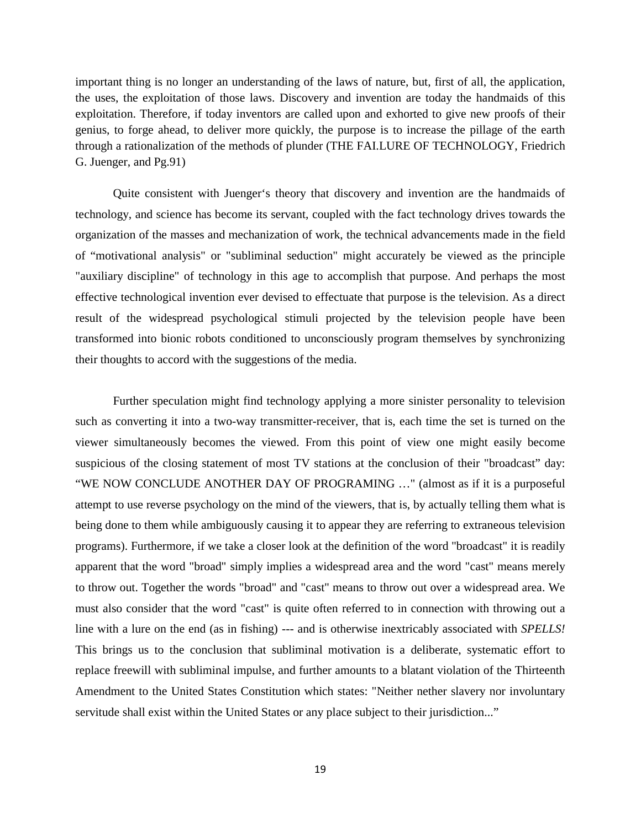important thing is no longer an understanding of the laws of nature, but, first of all, the application, the uses, the exploitation of those laws. Discovery and invention are today the handmaids of this exploitation. Therefore, if today inventors are called upon and exhorted to give new proofs of their genius, to forge ahead, to deliver more quickly, the purpose is to increase the pillage of the earth through a rationalization of the methods of plunder (THE FAI.LURE OF TECHNOLOGY, Friedrich G. Juenger, and Pg.91)

Quite consistent with Juenger's theory that discovery and invention are the handmaids of technology, and science has become its servant, coupled with the fact technology drives towards the organization of the masses and mechanization of work, the technical advancements made in the field of "motivational analysis" or "subliminal seduction" might accurately be viewed as the principle "auxiliary discipline" of technology in this age to accomplish that purpose. And perhaps the most effective technological invention ever devised to effectuate that purpose is the television. As a direct result of the widespread psychological stimuli projected by the television people have been transformed into bionic robots conditioned to unconsciously program themselves by synchronizing their thoughts to accord with the suggestions of the media.

Further speculation might find technology applying a more sinister personality to television such as converting it into a two-way transmitter-receiver, that is, each time the set is turned on the viewer simultaneously becomes the viewed. From this point of view one might easily become suspicious of the closing statement of most TV stations at the conclusion of their "broadcast" day: "WE NOW CONCLUDE ANOTHER DAY OF PROGRAMING …" (almost as if it is a purposeful attempt to use reverse psychology on the mind of the viewers, that is, by actually telling them what is being done to them while ambiguously causing it to appear they are referring to extraneous television programs). Furthermore, if we take a closer look at the definition of the word "broadcast" it is readily apparent that the word "broad" simply implies a widespread area and the word "cast" means merely to throw out. Together the words "broad" and "cast" means to throw out over a widespread area. We must also consider that the word "cast" is quite often referred to in connection with throwing out a line with a lure on the end (as in fishing) --- and is otherwise inextricably associated with *SPELLS!* This brings us to the conclusion that subliminal motivation is a deliberate, systematic effort to replace freewill with subliminal impulse, and further amounts to a blatant violation of the Thirteenth Amendment to the United States Constitution which states: "Neither nether slavery nor involuntary servitude shall exist within the United States or any place subject to their jurisdiction..."